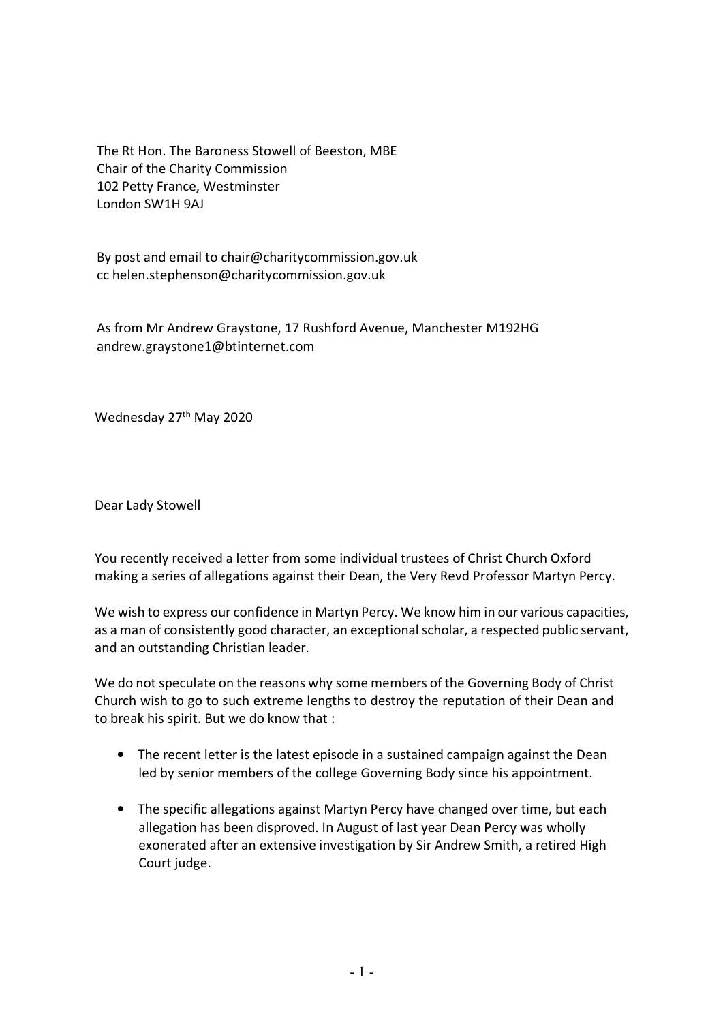The Rt Hon. The Baroness Stowell of Beeston, MBE Chair of the Charity Commission 102 Petty France, Westminster London SW1H 9AJ

By post and email to chair@charitycommission.gov.uk cc helen.stephenson@charitycommission.gov.uk

As from Mr Andrew Graystone, 17 Rushford Avenue, Manchester M192HG andrew.graystone1@btinternet.com

Wednesday 27<sup>th</sup> May 2020

Dear Lady Stowell

You recently received a letter from some individual trustees of Christ Church Oxford making a series of allegations against their Dean, the Very Revd Professor Martyn Percy.

We wish to express our confidence in Martyn Percy. We know him in our various capacities, as a man of consistently good character, an exceptional scholar, a respected public servant, and an outstanding Christian leader.

We do not speculate on the reasons why some members of the Governing Body of Christ Church wish to go to such extreme lengths to destroy the reputation of their Dean and to break his spirit. But we do know that :

- The recent letter is the latest episode in a sustained campaign against the Dean led by senior members of the college Governing Body since his appointment.
- The specific allegations against Martyn Percy have changed over time, but each allegation has been disproved. In August of last year Dean Percy was wholly exonerated after an extensive investigation by Sir Andrew Smith, a retired High Court judge.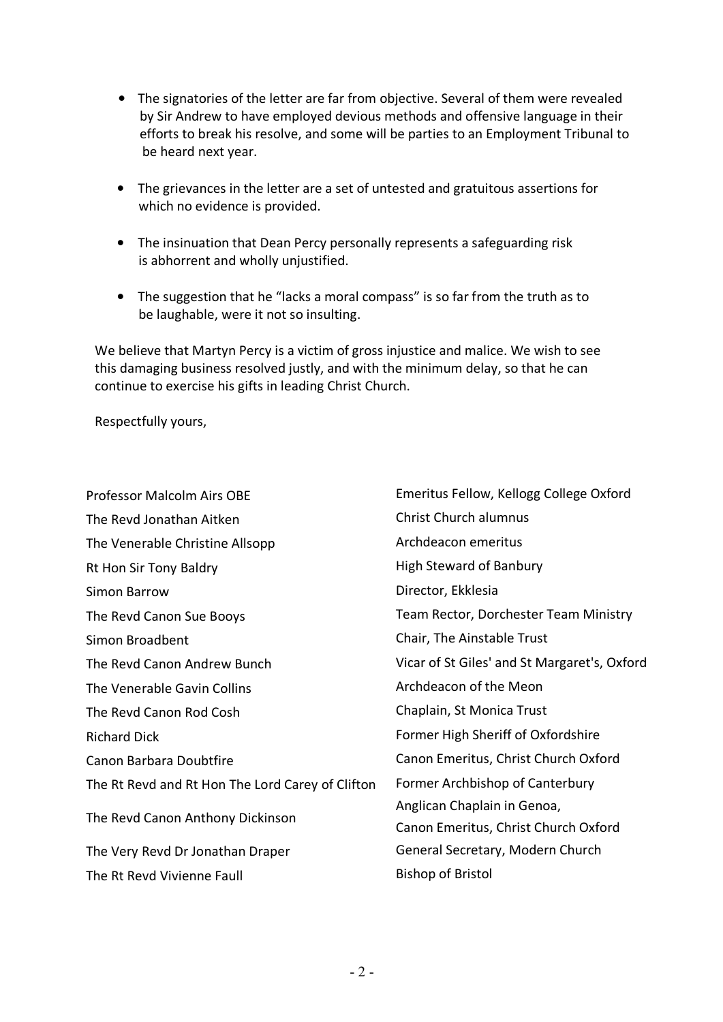- The signatories of the letter are far from objective. Several of them were revealed by Sir Andrew to have employed devious methods and offensive language in their efforts to break his resolve, and some will be parties to an Employment Tribunal to be heard next year.
- The grievances in the letter are a set of untested and gratuitous assertions for which no evidence is provided.
- The insinuation that Dean Percy personally represents a safeguarding risk is abhorrent and wholly unjustified.
- The suggestion that he "lacks a moral compass" is so far from the truth as to be laughable, were it not so insulting.

We believe that Martyn Percy is a victim of gross injustice and malice. We wish to see this damaging business resolved justly, and with the minimum delay, so that he can continue to exercise his gifts in leading Christ Church.

Respectfully yours,

| Professor Malcolm Airs OBE                       | Emeritus Fellow, Kellogg College Oxford      |
|--------------------------------------------------|----------------------------------------------|
| The Revd Jonathan Aitken                         | <b>Christ Church alumnus</b>                 |
| The Venerable Christine Allsopp                  | Archdeacon emeritus                          |
| Rt Hon Sir Tony Baldry                           | <b>High Steward of Banbury</b>               |
| Simon Barrow                                     | Director, Ekklesia                           |
| The Revd Canon Sue Booys                         | Team Rector, Dorchester Team Ministry        |
| Simon Broadbent                                  | Chair, The Ainstable Trust                   |
| The Revd Canon Andrew Bunch                      | Vicar of St Giles' and St Margaret's, Oxford |
| The Venerable Gavin Collins                      | Archdeacon of the Meon                       |
| The Revd Canon Rod Cosh                          | Chaplain, St Monica Trust                    |
| <b>Richard Dick</b>                              | Former High Sheriff of Oxfordshire           |
| Canon Barbara Doubtfire                          | Canon Emeritus, Christ Church Oxford         |
| The Rt Revd and Rt Hon The Lord Carey of Clifton | Former Archbishop of Canterbury              |
| The Revd Canon Anthony Dickinson                 | Anglican Chaplain in Genoa,                  |
|                                                  | Canon Emeritus, Christ Church Oxford         |
| The Very Revd Dr Jonathan Draper                 | General Secretary, Modern Church             |
| The Rt Revd Vivienne Faull                       | <b>Bishop of Bristol</b>                     |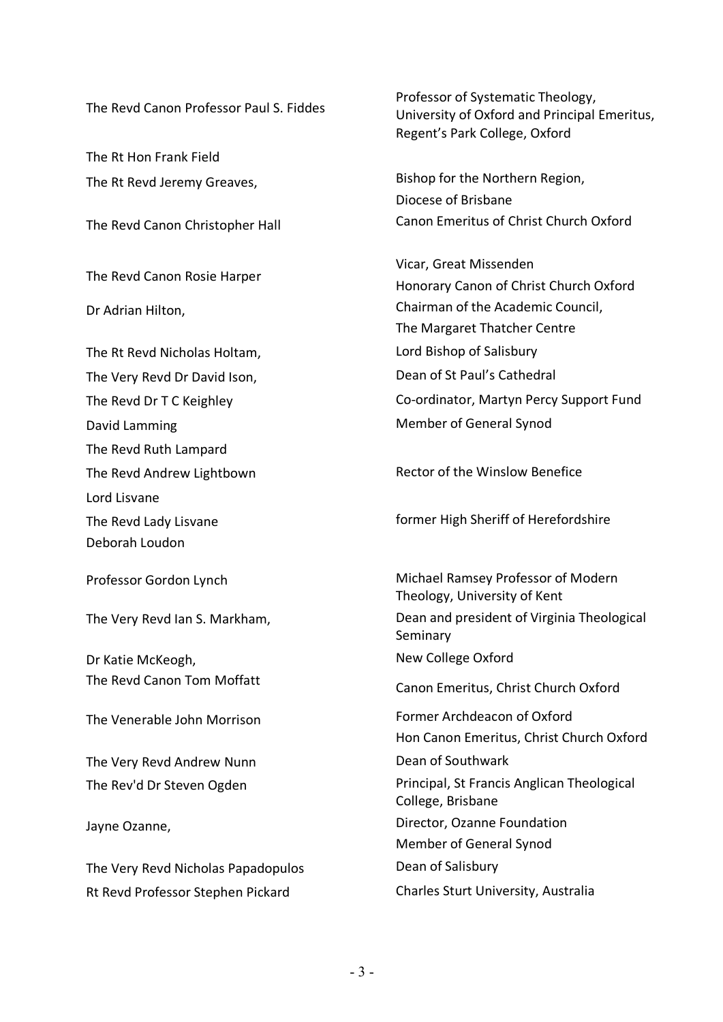The Rt Hon Frank Field

The Revd Canon Rosie Harper

The Rt Revd Nicholas Holtam, The Rt Revd Nicholas Holtam, The Very Revd Dr David Ison, Dean of St Paul's Cathedral David Lamming **Member of General Synod** The Revd Ruth Lampard Lord Lisvane Deborah Loudon

Dr Katie McKeogh, New College Oxford

The Very Revd Andrew Nunn **Dean of Southwark** 

The Very Revd Nicholas Papadopulos Dean of Salisbury Rt Revd Professor Stephen Pickard Charles Sturt University, Australia

The Revd Canon Professor Paul S. Fiddes Professor of Systematic Theology, University of Oxford and Principal Emeritus, Regent's Park College, Oxford

The Rt Revd Jeremy Greaves. The Rt Revd Jeremy Greaves, Diocese of Brisbane The Revd Canon Christopher Hall Canon Emeritus of Christ Church Oxford

Vicar, Great Missenden Honorary Canon of Christ Church Oxford Dr Adrian Hilton, **Chairman of the Academic Council**, The Margaret Thatcher Centre The Revd Dr T C Keighley The Revd Dr T C Keighley Co-ordinator, Martyn Percy Support Fund

The Revd Andrew Lightbown Rector of the Winslow Benefice

The Revd Lady Lisvane **former High Sheriff of Herefordshire** former High Sheriff of Herefordshire

Professor Gordon Lynch Michael Ramsey Professor of Modern Theology, University of Kent The Very Revd Ian S. Markham, Dean and president of Virginia Theological Seminary The Revd Canon Tom Moffatt Canon Emeritus, Christ Church Oxford The Venerable John Morrison Former Archdeacon of Oxford Hon Canon Emeritus, Christ Church Oxford The Rev'd Dr Steven Ogden **Principal**, St Francis Anglican Theological College, Brisbane Jayne Ozanne, The Community of the Director, Ozanne Foundation Member of General Synod